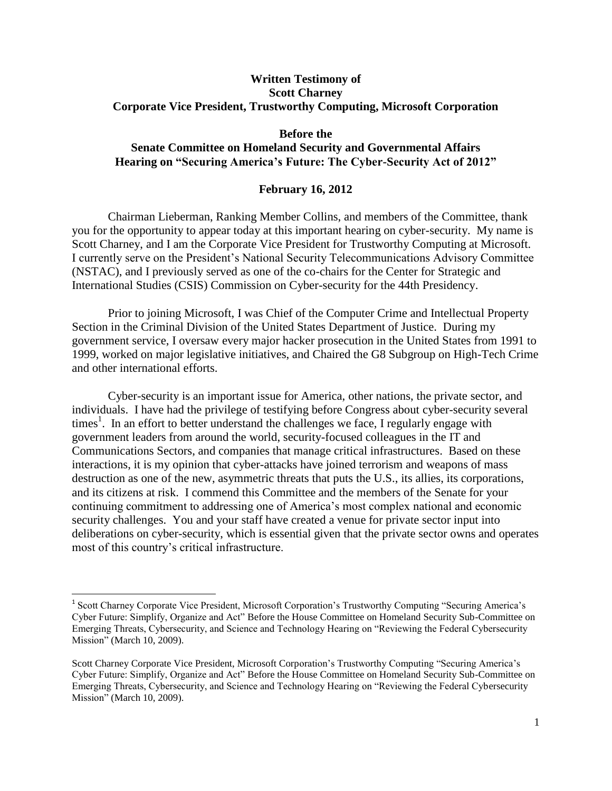# **Written Testimony of Scott Charney Corporate Vice President, Trustworthy Computing, Microsoft Corporation**

## **Before the**

# **Senate Committee on Homeland Security and Governmental Affairs Hearing on "Securing America's Future: The Cyber-Security Act of 2012"**

## **February 16, 2012**

Chairman Lieberman, Ranking Member Collins, and members of the Committee, thank you for the opportunity to appear today at this important hearing on cyber-security. My name is Scott Charney, and I am the Corporate Vice President for Trustworthy Computing at Microsoft. I currently serve on the President's National Security Telecommunications Advisory Committee (NSTAC), and I previously served as one of the co-chairs for the Center for Strategic and International Studies (CSIS) Commission on Cyber-security for the 44th Presidency.

Prior to joining Microsoft, I was Chief of the Computer Crime and Intellectual Property Section in the Criminal Division of the United States Department of Justice. During my government service, I oversaw every major hacker prosecution in the United States from 1991 to 1999, worked on major legislative initiatives, and Chaired the G8 Subgroup on High-Tech Crime and other international efforts.

Cyber-security is an important issue for America, other nations, the private sector, and individuals. I have had the privilege of testifying before Congress about cyber-security several times<sup>1</sup>. In an effort to better understand the challenges we face, I regularly engage with government leaders from around the world, security-focused colleagues in the IT and Communications Sectors, and companies that manage critical infrastructures. Based on these interactions, it is my opinion that cyber-attacks have joined terrorism and weapons of mass destruction as one of the new, asymmetric threats that puts the U.S., its allies, its corporations, and its citizens at risk. I commend this Committee and the members of the Senate for your continuing commitment to addressing one of America's most complex national and economic security challenges. You and your staff have created a venue for private sector input into deliberations on cyber-security, which is essential given that the private sector owns and operates most of this country's critical infrastructure.

 $\overline{\phantom{a}}$ 

<sup>&</sup>lt;sup>1</sup> Scott Charney Corporate Vice President, Microsoft Corporation's Trustworthy Computing "Securing America's Cyber Future: Simplify, Organize and Act" Before the House Committee on Homeland Security Sub-Committee on Emerging Threats, Cybersecurity, and Science and Technology Hearing on "Reviewing the Federal Cybersecurity Mission" (March 10, 2009).

Scott Charney Corporate Vice President, Microsoft Corporation's Trustworthy Computing "Securing America's Cyber Future: Simplify, Organize and Act" Before the House Committee on Homeland Security Sub-Committee on Emerging Threats, Cybersecurity, and Science and Technology Hearing on "Reviewing the Federal Cybersecurity Mission" (March 10, 2009).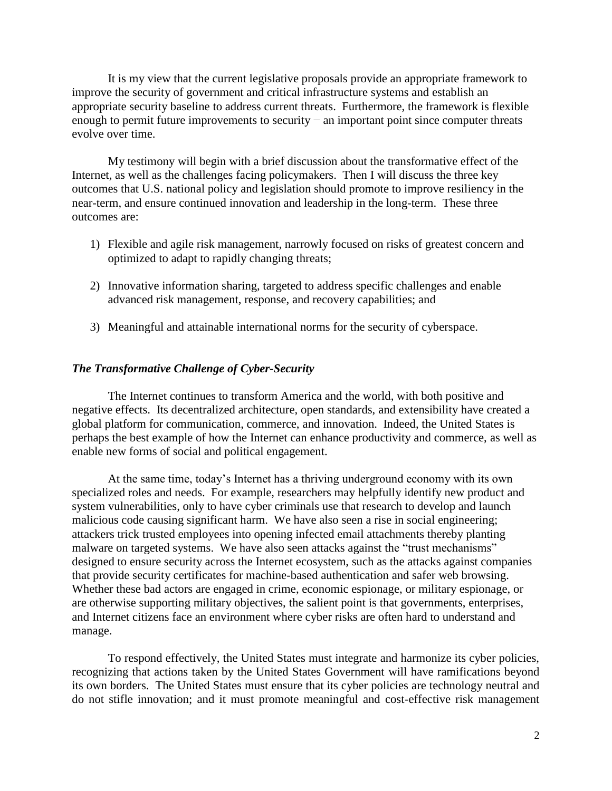It is my view that the current legislative proposals provide an appropriate framework to improve the security of government and critical infrastructure systems and establish an appropriate security baseline to address current threats. Furthermore, the framework is flexible enough to permit future improvements to security – an important point since computer threats evolve over time.

My testimony will begin with a brief discussion about the transformative effect of the Internet, as well as the challenges facing policymakers. Then I will discuss the three key outcomes that U.S. national policy and legislation should promote to improve resiliency in the near-term, and ensure continued innovation and leadership in the long-term. These three outcomes are:

- 1) Flexible and agile risk management, narrowly focused on risks of greatest concern and optimized to adapt to rapidly changing threats;
- 2) Innovative information sharing, targeted to address specific challenges and enable advanced risk management, response, and recovery capabilities; and
- 3) Meaningful and attainable international norms for the security of cyberspace.

#### *The Transformative Challenge of Cyber-Security*

The Internet continues to transform America and the world, with both positive and negative effects. Its decentralized architecture, open standards, and extensibility have created a global platform for communication, commerce, and innovation. Indeed, the United States is perhaps the best example of how the Internet can enhance productivity and commerce, as well as enable new forms of social and political engagement.

At the same time, today's Internet has a thriving underground economy with its own specialized roles and needs. For example, researchers may helpfully identify new product and system vulnerabilities, only to have cyber criminals use that research to develop and launch malicious code causing significant harm. We have also seen a rise in social engineering; attackers trick trusted employees into opening infected email attachments thereby planting malware on targeted systems. We have also seen attacks against the "trust mechanisms" designed to ensure security across the Internet ecosystem, such as the attacks against companies that provide security certificates for machine-based authentication and safer web browsing. Whether these bad actors are engaged in crime, economic espionage, or military espionage, or are otherwise supporting military objectives, the salient point is that governments, enterprises, and Internet citizens face an environment where cyber risks are often hard to understand and manage.

To respond effectively, the United States must integrate and harmonize its cyber policies, recognizing that actions taken by the United States Government will have ramifications beyond its own borders. The United States must ensure that its cyber policies are technology neutral and do not stifle innovation; and it must promote meaningful and cost-effective risk management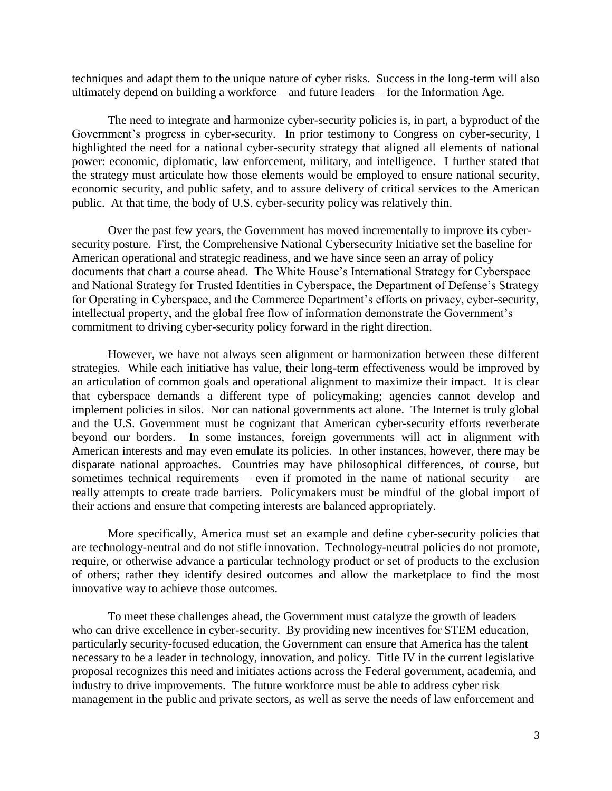techniques and adapt them to the unique nature of cyber risks. Success in the long-term will also ultimately depend on building a workforce – and future leaders – for the Information Age.

The need to integrate and harmonize cyber-security policies is, in part, a byproduct of the Government's progress in cyber-security. In prior testimony to Congress on cyber-security, I highlighted the need for a national cyber-security strategy that aligned all elements of national power: economic, diplomatic, law enforcement, military, and intelligence. I further stated that the strategy must articulate how those elements would be employed to ensure national security, economic security, and public safety, and to assure delivery of critical services to the American public. At that time, the body of U.S. cyber-security policy was relatively thin.

Over the past few years, the Government has moved incrementally to improve its cybersecurity posture. First, the Comprehensive National Cybersecurity Initiative set the baseline for American operational and strategic readiness, and we have since seen an array of policy documents that chart a course ahead. The White House's International Strategy for Cyberspace and National Strategy for Trusted Identities in Cyberspace, the Department of Defense's Strategy for Operating in Cyberspace, and the Commerce Department's efforts on privacy, cyber-security, intellectual property, and the global free flow of information demonstrate the Government's commitment to driving cyber-security policy forward in the right direction.

However, we have not always seen alignment or harmonization between these different strategies. While each initiative has value, their long-term effectiveness would be improved by an articulation of common goals and operational alignment to maximize their impact. It is clear that cyberspace demands a different type of policymaking; agencies cannot develop and implement policies in silos. Nor can national governments act alone. The Internet is truly global and the U.S. Government must be cognizant that American cyber-security efforts reverberate beyond our borders. In some instances, foreign governments will act in alignment with American interests and may even emulate its policies. In other instances, however, there may be disparate national approaches. Countries may have philosophical differences, of course, but sometimes technical requirements – even if promoted in the name of national security – are really attempts to create trade barriers. Policymakers must be mindful of the global import of their actions and ensure that competing interests are balanced appropriately.

More specifically, America must set an example and define cyber-security policies that are technology-neutral and do not stifle innovation. Technology-neutral policies do not promote, require, or otherwise advance a particular technology product or set of products to the exclusion of others; rather they identify desired outcomes and allow the marketplace to find the most innovative way to achieve those outcomes.

To meet these challenges ahead, the Government must catalyze the growth of leaders who can drive excellence in cyber-security. By providing new incentives for STEM education, particularly security-focused education, the Government can ensure that America has the talent necessary to be a leader in technology, innovation, and policy. Title IV in the current legislative proposal recognizes this need and initiates actions across the Federal government, academia, and industry to drive improvements. The future workforce must be able to address cyber risk management in the public and private sectors, as well as serve the needs of law enforcement and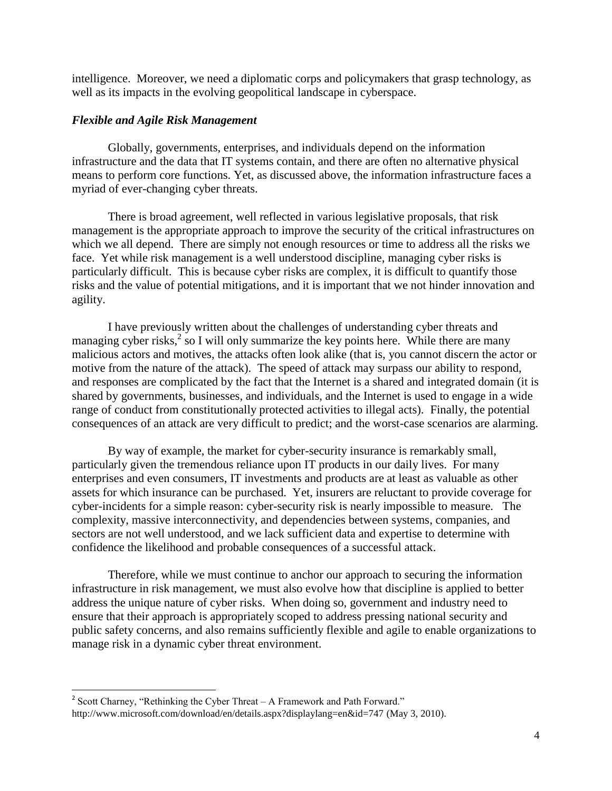intelligence. Moreover, we need a diplomatic corps and policymakers that grasp technology, as well as its impacts in the evolving geopolitical landscape in cyberspace.

# *Flexible and Agile Risk Management*

Globally, governments, enterprises, and individuals depend on the information infrastructure and the data that IT systems contain, and there are often no alternative physical means to perform core functions. Yet, as discussed above, the information infrastructure faces a myriad of ever-changing cyber threats.

There is broad agreement, well reflected in various legislative proposals, that risk management is the appropriate approach to improve the security of the critical infrastructures on which we all depend. There are simply not enough resources or time to address all the risks we face. Yet while risk management is a well understood discipline, managing cyber risks is particularly difficult. This is because cyber risks are complex, it is difficult to quantify those risks and the value of potential mitigations, and it is important that we not hinder innovation and agility.

I have previously written about the challenges of understanding cyber threats and managing cyber risks,<sup>2</sup> so I will only summarize the key points here. While there are many malicious actors and motives, the attacks often look alike (that is, you cannot discern the actor or motive from the nature of the attack). The speed of attack may surpass our ability to respond, and responses are complicated by the fact that the Internet is a shared and integrated domain (it is shared by governments, businesses, and individuals, and the Internet is used to engage in a wide range of conduct from constitutionally protected activities to illegal acts). Finally, the potential consequences of an attack are very difficult to predict; and the worst-case scenarios are alarming.

By way of example, the market for cyber-security insurance is remarkably small, particularly given the tremendous reliance upon IT products in our daily lives. For many enterprises and even consumers, IT investments and products are at least as valuable as other assets for which insurance can be purchased. Yet, insurers are reluctant to provide coverage for cyber-incidents for a simple reason: cyber-security risk is nearly impossible to measure. The complexity, massive interconnectivity, and dependencies between systems, companies, and sectors are not well understood, and we lack sufficient data and expertise to determine with confidence the likelihood and probable consequences of a successful attack.

Therefore, while we must continue to anchor our approach to securing the information infrastructure in risk management, we must also evolve how that discipline is applied to better address the unique nature of cyber risks. When doing so, government and industry need to ensure that their approach is appropriately scoped to address pressing national security and public safety concerns, and also remains sufficiently flexible and agile to enable organizations to manage risk in a dynamic cyber threat environment.

<sup>&</sup>lt;sup>2</sup> Scott Charney, "Rethinking the Cyber Threat – A Framework and Path Forward." http://www.microsoft.com/download/en/details.aspx?displaylang=en&id=747 (May 3, 2010).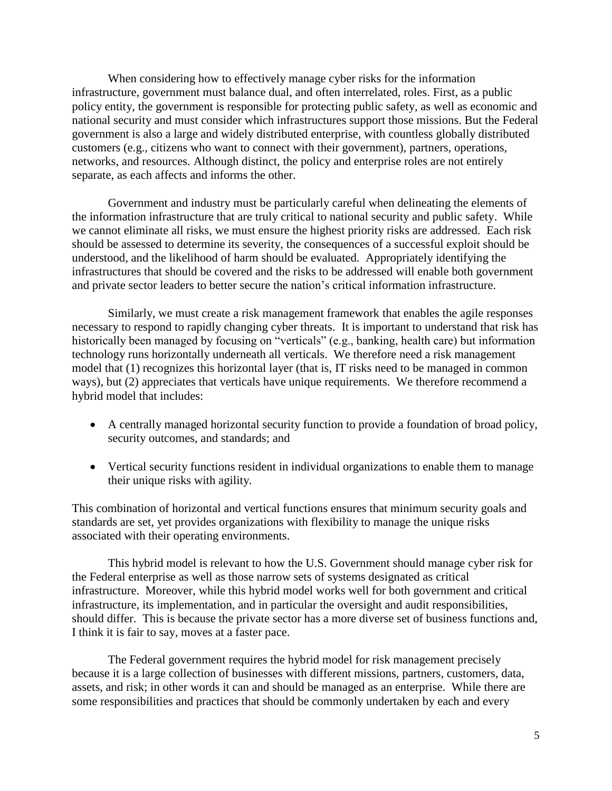When considering how to effectively manage cyber risks for the information infrastructure, government must balance dual, and often interrelated, roles. First, as a public policy entity, the government is responsible for protecting public safety, as well as economic and national security and must consider which infrastructures support those missions. But the Federal government is also a large and widely distributed enterprise, with countless globally distributed customers (e.g., citizens who want to connect with their government), partners, operations, networks, and resources. Although distinct, the policy and enterprise roles are not entirely separate, as each affects and informs the other.

Government and industry must be particularly careful when delineating the elements of the information infrastructure that are truly critical to national security and public safety. While we cannot eliminate all risks, we must ensure the highest priority risks are addressed. Each risk should be assessed to determine its severity, the consequences of a successful exploit should be understood, and the likelihood of harm should be evaluated. Appropriately identifying the infrastructures that should be covered and the risks to be addressed will enable both government and private sector leaders to better secure the nation's critical information infrastructure.

Similarly, we must create a risk management framework that enables the agile responses necessary to respond to rapidly changing cyber threats. It is important to understand that risk has historically been managed by focusing on "verticals" (e.g., banking, health care) but information technology runs horizontally underneath all verticals. We therefore need a risk management model that (1) recognizes this horizontal layer (that is, IT risks need to be managed in common ways), but (2) appreciates that verticals have unique requirements. We therefore recommend a hybrid model that includes:

- A centrally managed horizontal security function to provide a foundation of broad policy, security outcomes, and standards; and
- Vertical security functions resident in individual organizations to enable them to manage their unique risks with agility.

This combination of horizontal and vertical functions ensures that minimum security goals and standards are set, yet provides organizations with flexibility to manage the unique risks associated with their operating environments.

This hybrid model is relevant to how the U.S. Government should manage cyber risk for the Federal enterprise as well as those narrow sets of systems designated as critical infrastructure. Moreover, while this hybrid model works well for both government and critical infrastructure, its implementation, and in particular the oversight and audit responsibilities, should differ. This is because the private sector has a more diverse set of business functions and, I think it is fair to say, moves at a faster pace.

The Federal government requires the hybrid model for risk management precisely because it is a large collection of businesses with different missions, partners, customers, data, assets, and risk; in other words it can and should be managed as an enterprise. While there are some responsibilities and practices that should be commonly undertaken by each and every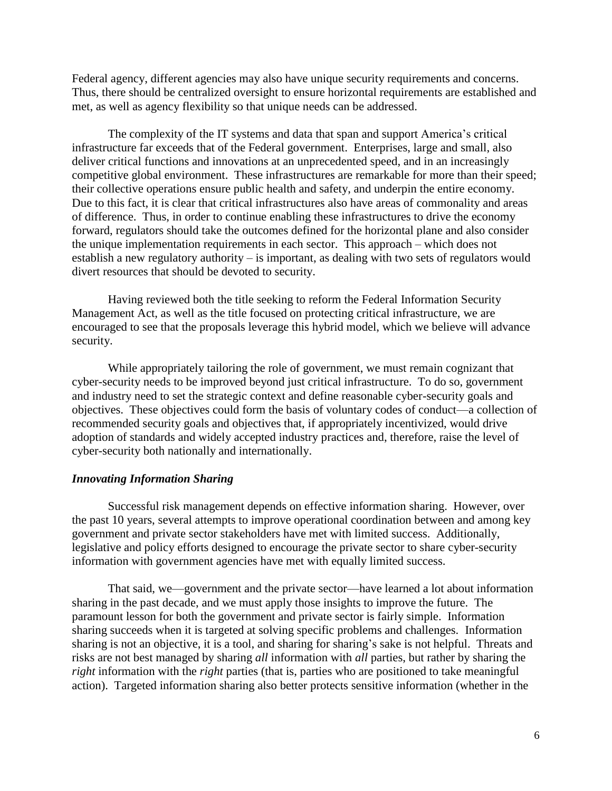Federal agency, different agencies may also have unique security requirements and concerns. Thus, there should be centralized oversight to ensure horizontal requirements are established and met, as well as agency flexibility so that unique needs can be addressed.

The complexity of the IT systems and data that span and support America's critical infrastructure far exceeds that of the Federal government. Enterprises, large and small, also deliver critical functions and innovations at an unprecedented speed, and in an increasingly competitive global environment. These infrastructures are remarkable for more than their speed; their collective operations ensure public health and safety, and underpin the entire economy. Due to this fact, it is clear that critical infrastructures also have areas of commonality and areas of difference. Thus, in order to continue enabling these infrastructures to drive the economy forward, regulators should take the outcomes defined for the horizontal plane and also consider the unique implementation requirements in each sector. This approach – which does not establish a new regulatory authority – is important, as dealing with two sets of regulators would divert resources that should be devoted to security.

Having reviewed both the title seeking to reform the Federal Information Security Management Act, as well as the title focused on protecting critical infrastructure, we are encouraged to see that the proposals leverage this hybrid model, which we believe will advance security.

While appropriately tailoring the role of government, we must remain cognizant that cyber-security needs to be improved beyond just critical infrastructure. To do so, government and industry need to set the strategic context and define reasonable cyber-security goals and objectives. These objectives could form the basis of voluntary codes of conduct—a collection of recommended security goals and objectives that, if appropriately incentivized, would drive adoption of standards and widely accepted industry practices and, therefore, raise the level of cyber-security both nationally and internationally.

### *Innovating Information Sharing*

Successful risk management depends on effective information sharing. However, over the past 10 years, several attempts to improve operational coordination between and among key government and private sector stakeholders have met with limited success. Additionally, legislative and policy efforts designed to encourage the private sector to share cyber-security information with government agencies have met with equally limited success.

That said, we—government and the private sector—have learned a lot about information sharing in the past decade, and we must apply those insights to improve the future. The paramount lesson for both the government and private sector is fairly simple. Information sharing succeeds when it is targeted at solving specific problems and challenges. Information sharing is not an objective, it is a tool, and sharing for sharing's sake is not helpful. Threats and risks are not best managed by sharing *all* information with *all* parties, but rather by sharing the *right* information with the *right* parties (that is, parties who are positioned to take meaningful action). Targeted information sharing also better protects sensitive information (whether in the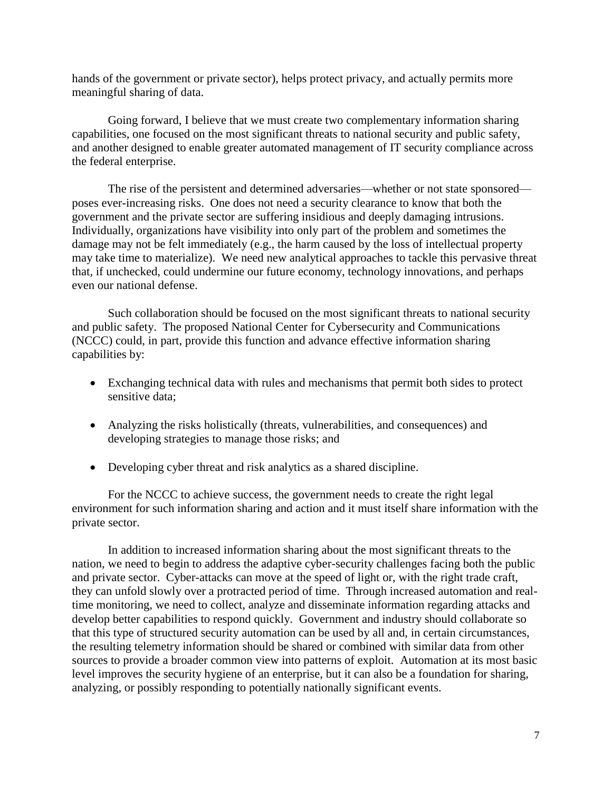hands of the government or private sector), helps protect privacy, and actually permits more meaningful sharing of data.

Going forward, I believe that we must create two complementary information sharing capabilities, one focused on the most significant threats to national security and public safety, and another designed to enable greater automated management of IT security compliance across the federal enterprise.

The rise of the persistent and determined adversaries—whether or not state sponsored poses ever-increasing risks. One does not need a security clearance to know that both the government and the private sector are suffering insidious and deeply damaging intrusions. Individually, organizations have visibility into only part of the problem and sometimes the damage may not be felt immediately (e.g., the harm caused by the loss of intellectual property may take time to materialize). We need new analytical approaches to tackle this pervasive threat that, if unchecked, could undermine our future economy, technology innovations, and perhaps even our national defense.

Such collaboration should be focused on the most significant threats to national security and public safety. The proposed National Center for Cybersecurity and Communications (NCCC) could, in part, provide this function and advance effective information sharing capabilities by:

- Exchanging technical data with rules and mechanisms that permit both sides to protect sensitive data;
- Analyzing the risks holistically (threats, vulnerabilities, and consequences) and developing strategies to manage those risks; and
- Developing cyber threat and risk analytics as a shared discipline.

For the NCCC to achieve success, the government needs to create the right legal environment for such information sharing and action and it must itself share information with the private sector.

In addition to increased information sharing about the most significant threats to the nation, we need to begin to address the adaptive cyber-security challenges facing both the public and private sector. Cyber-attacks can move at the speed of light or, with the right trade craft, they can unfold slowly over a protracted period of time. Through increased automation and realtime monitoring, we need to collect, analyze and disseminate information regarding attacks and develop better capabilities to respond quickly. Government and industry should collaborate so that this type of structured security automation can be used by all and, in certain circumstances, the resulting telemetry information should be shared or combined with similar data from other sources to provide a broader common view into patterns of exploit. Automation at its most basic level improves the security hygiene of an enterprise, but it can also be a foundation for sharing, analyzing, or possibly responding to potentially nationally significant events.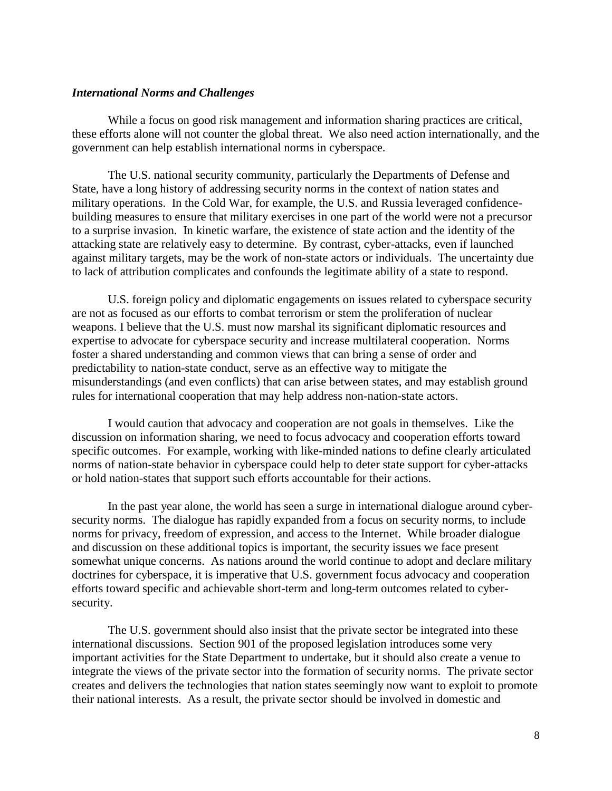### *International Norms and Challenges*

While a focus on good risk management and information sharing practices are critical, these efforts alone will not counter the global threat. We also need action internationally, and the government can help establish international norms in cyberspace.

The U.S. national security community, particularly the Departments of Defense and State, have a long history of addressing security norms in the context of nation states and military operations. In the Cold War, for example, the U.S. and Russia leveraged confidencebuilding measures to ensure that military exercises in one part of the world were not a precursor to a surprise invasion. In kinetic warfare, the existence of state action and the identity of the attacking state are relatively easy to determine. By contrast, cyber-attacks, even if launched against military targets, may be the work of non-state actors or individuals. The uncertainty due to lack of attribution complicates and confounds the legitimate ability of a state to respond.

U.S. foreign policy and diplomatic engagements on issues related to cyberspace security are not as focused as our efforts to combat terrorism or stem the proliferation of nuclear weapons. I believe that the U.S. must now marshal its significant diplomatic resources and expertise to advocate for cyberspace security and increase multilateral cooperation. Norms foster a shared understanding and common views that can bring a sense of order and predictability to nation-state conduct, serve as an effective way to mitigate the misunderstandings (and even conflicts) that can arise between states, and may establish ground rules for international cooperation that may help address non-nation-state actors.

I would caution that advocacy and cooperation are not goals in themselves. Like the discussion on information sharing, we need to focus advocacy and cooperation efforts toward specific outcomes. For example, working with like-minded nations to define clearly articulated norms of nation-state behavior in cyberspace could help to deter state support for cyber-attacks or hold nation-states that support such efforts accountable for their actions.

In the past year alone, the world has seen a surge in international dialogue around cybersecurity norms. The dialogue has rapidly expanded from a focus on security norms, to include norms for privacy, freedom of expression, and access to the Internet. While broader dialogue and discussion on these additional topics is important, the security issues we face present somewhat unique concerns. As nations around the world continue to adopt and declare military doctrines for cyberspace, it is imperative that U.S. government focus advocacy and cooperation efforts toward specific and achievable short-term and long-term outcomes related to cybersecurity.

The U.S. government should also insist that the private sector be integrated into these international discussions. Section 901 of the proposed legislation introduces some very important activities for the State Department to undertake, but it should also create a venue to integrate the views of the private sector into the formation of security norms. The private sector creates and delivers the technologies that nation states seemingly now want to exploit to promote their national interests. As a result, the private sector should be involved in domestic and